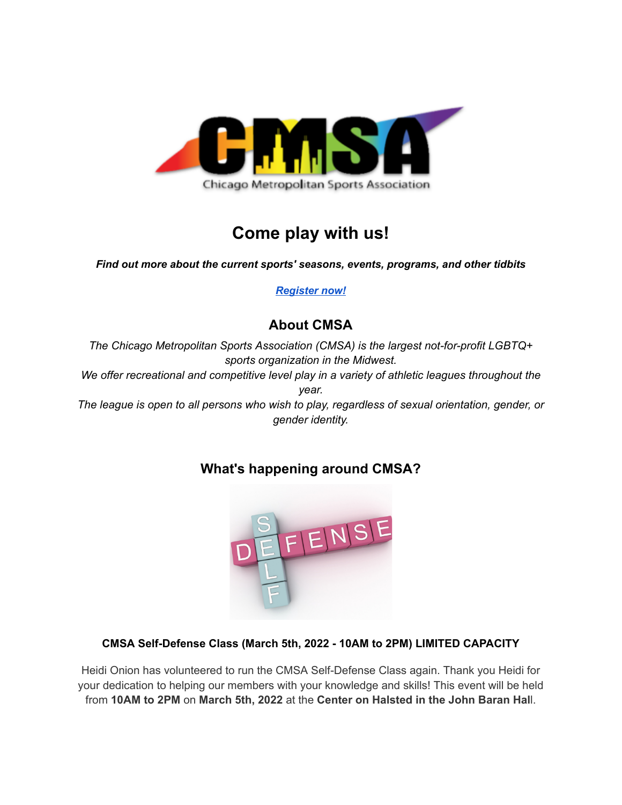

# **Come play with us!**

*Find out more about the current sports' seasons, events, programs, and other tidbits*

*[Register now!](https://chicagomsa.leagueapps.com/)*

# **About CMSA**

*The Chicago Metropolitan Sports Association (CMSA) is the largest not-for-profit LGBTQ+ sports organization in the Midwest. We offer recreational and competitive level play in a variety of athletic leagues throughout the year. The league is open to all persons who wish to play, regardless of sexual orientation, gender, or gender identity.*

# **What's happening around CMSA?**



## **CMSA Self-Defense Class (March 5th, 2022 - 10AM to 2PM) LIMITED CAPACITY**

Heidi Onion has volunteered to run the CMSA Self-Defense Class again. Thank you Heidi for your dedication to helping our members with your knowledge and skills! This event will be held from **10AM to 2PM** on **March 5th, 2022** at the **Center on Halsted in the John Baran Hal**l.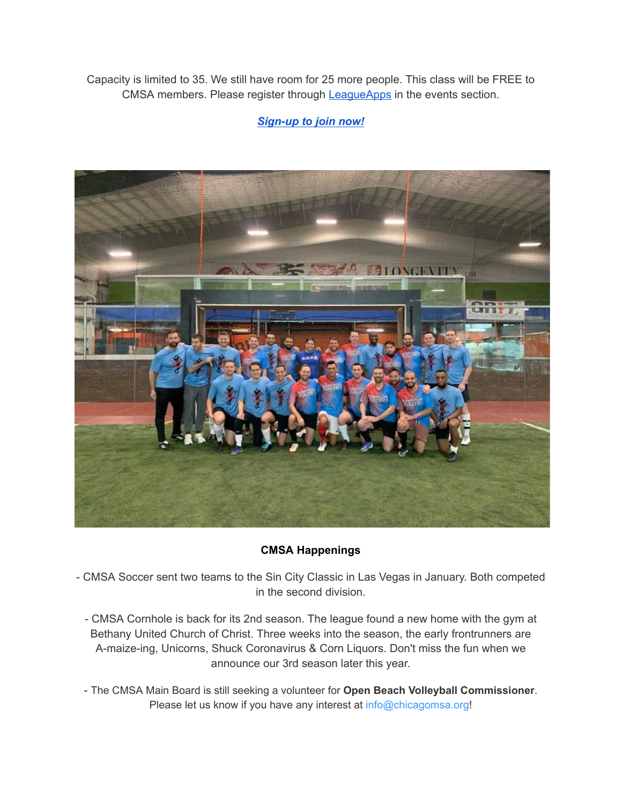Capacity is limited to 35. We still have room for 25 more people. This class will be FREE to CMSA members. Please register through **[LeagueApps](https://chicagomsa.leagueapps.com/events/2812752-4-hour-self-defense-class---march-2022)** in the events section.

## *[Sign-up](https://chicagomsa.leagueapps.com/events/2812752-4-hour-self-defense-class---march-2022) to join now!*



### **CMSA Happenings**

- CMSA Soccer sent two teams to the Sin City Classic in Las Vegas in January. Both competed in the second division.

- CMSA Cornhole is back for its 2nd season. The league found a new home with the gym at Bethany United Church of Christ. Three weeks into the season, the early frontrunners are A-maize-ing, Unicorns, Shuck Coronavirus & Corn Liquors. Don't miss the fun when we announce our 3rd season later this year.
- The CMSA Main Board is still seeking a volunteer for **Open Beach Volleyball Commissioner**. Please let us know if you have any interest at info@chicagomsa.org!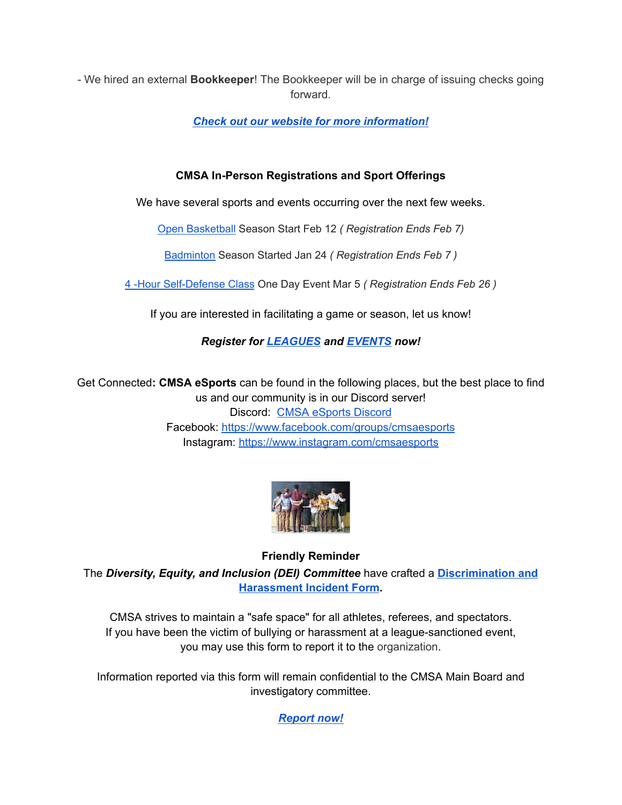- We hired an external **Bookkeeper**! The Bookkeeper will be in charge of issuing checks going forward.

*Check out our website for more [information!](https://chicagomsa.org/)*

## **CMSA In-Person Registrations and Sport Offerings**

We have several sports and events occurring over the next few weeks.

[Open Basketball](https://chicagomsa.leagueapps.com/leagues/basketball) Season Start Feb 12 *( Registration Ends Feb 7)*

[Badminton](https://chicagomsa.leagueapps.com/leagues/badminton) Season Started Jan 24 *( Registration Ends Feb 7 )*

[4 -Hour Self-Defense Class](https://chicagomsa.leagueapps.com/events/2812752-4-hour-self-defense-class---march-2022) One Day Event Mar 5 *( Registration Ends Feb 26 )*

If you are interested in facilitating a game or season, let us know!

## *Register for [LEAGUES](https://chicagomsa.leagueapps.com/leagues) and [EVENTS](https://chicagomsa.leagueapps.com/events) now!*

Get Connected**: CMSA eSports** can be found in the following places, but the best place to find us and our community is in our Discord server! Discord: CMSA [eSports](https://discord.com/invite/cmsaesports) Discord Facebook: <https://www.facebook.com/groups/cmsaesports> Instagram: <https://www.instagram.com/cmsaesports>



## **Friendly Reminder**

The *Diversity, Equity, and Inclusion (DEI) Committee* have crafted a **[Discrimination](https://forms.gle/pQrWtc65GrZFHKb49) and [Harassment](https://forms.gle/pQrWtc65GrZFHKb49) Incident Form.**

CMSA strives to maintain a "safe space" for all athletes, referees, and spectators. If you have been the victim of bullying or harassment at a league-sanctioned event, you may use this form to report it to the organization.

Information reported via this form will remain confidential to the CMSA Main Board and investigatory committee.

*[Report](https://forms.gle/pQrWtc65GrZFHKb49) now!*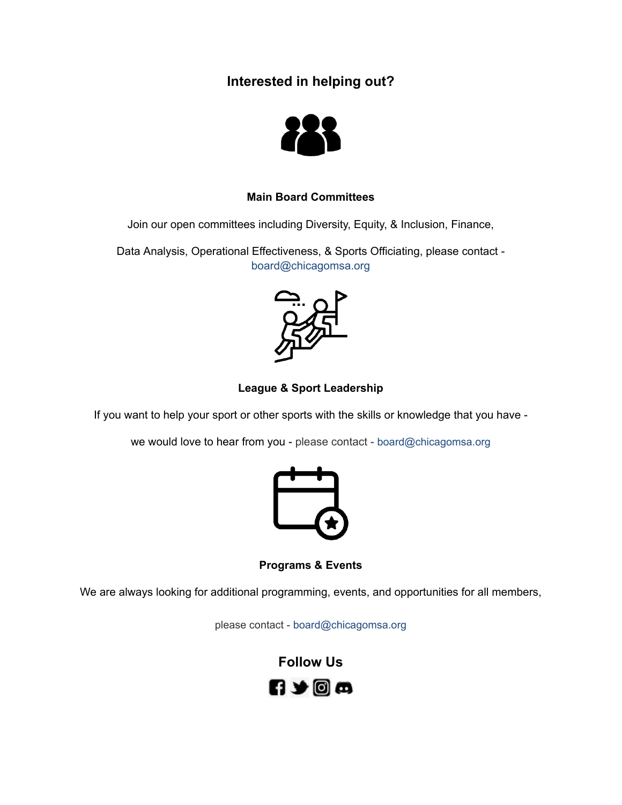## **Interested in helping out?**



### **Main Board Committees**

Join our open committees including Diversity, Equity, & Inclusion, Finance,

Data Analysis, Operational Effectiveness, & Sports Officiating, please contact board@chicagomsa.org



### **League & Sport Leadership**

If you want to help your sport or other sports with the skills or knowledge that you have -

we would love to hear from you - please contact - board@chicagomsa.org



**Programs & Events**

We are always looking for additional programming, events, and opportunities for all members,

please contact - board@chicagomsa.org

**Follow Us**